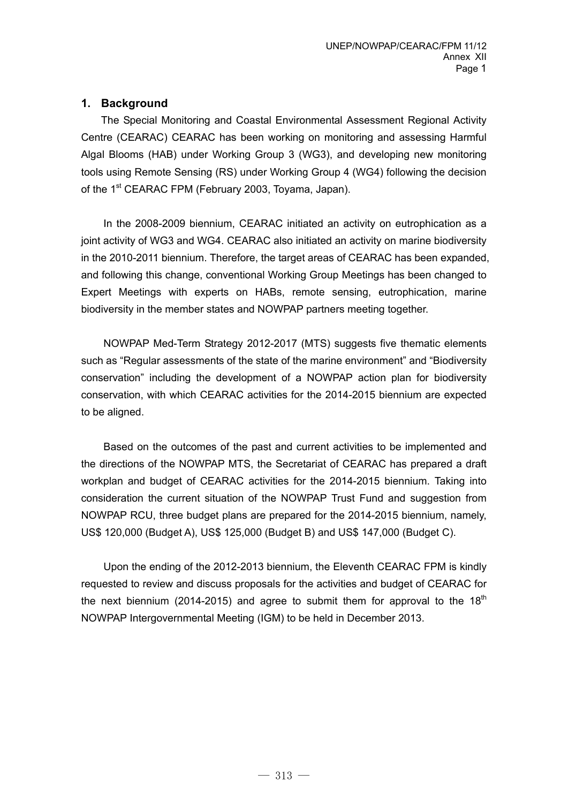### **1. Background**

The Special Monitoring and Coastal Environmental Assessment Regional Activity Centre (CEARAC) CEARAC has been working on monitoring and assessing Harmful Algal Blooms (HAB) under Working Group 3 (WG3), and developing new monitoring tools using Remote Sensing (RS) under Working Group 4 (WG4) following the decision of the 1<sup>st</sup> CEARAC FPM (February 2003, Toyama, Japan).

 In the 2008-2009 biennium, CEARAC initiated an activity on eutrophication as a joint activity of WG3 and WG4. CEARAC also initiated an activity on marine biodiversity in the 2010-2011 biennium. Therefore, the target areas of CEARAC has been expanded, and following this change, conventional Working Group Meetings has been changed to Expert Meetings with experts on HABs, remote sensing, eutrophication, marine biodiversity in the member states and NOWPAP partners meeting together.

 NOWPAP Med-Term Strategy 2012-2017 (MTS) suggests five thematic elements such as "Regular assessments of the state of the marine environment" and "Biodiversity conservation" including the development of a NOWPAP action plan for biodiversity conservation, with which CEARAC activities for the 2014-2015 biennium are expected to be aligned.

 Based on the outcomes of the past and current activities to be implemented and the directions of the NOWPAP MTS, the Secretariat of CEARAC has prepared a draft workplan and budget of CEARAC activities for the 2014-2015 biennium. Taking into consideration the current situation of the NOWPAP Trust Fund and suggestion from NOWPAP RCU, three budget plans are prepared for the 2014-2015 biennium, namely, US\$ 120,000 (Budget A), US\$ 125,000 (Budget B) and US\$ 147,000 (Budget C).

 Upon the ending of the 2012-2013 biennium, the Eleventh CEARAC FPM is kindly requested to review and discuss proposals for the activities and budget of CEARAC for the next biennium (2014-2015) and agree to submit them for approval to the  $18<sup>th</sup>$ NOWPAP Intergovernmental Meeting (IGM) to be held in December 2013.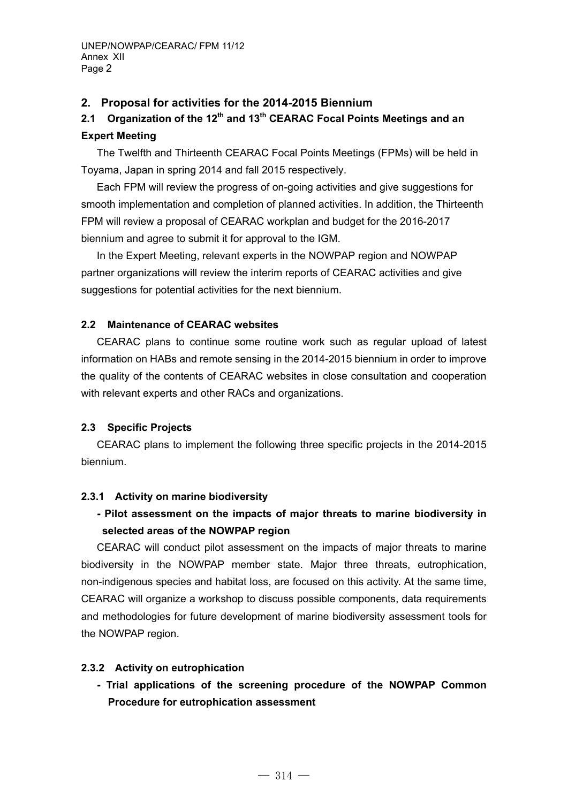### **2. Proposal for activities for the 2014-2015 Biennium**

# 2.1 Organization of the 12<sup>th</sup> and 13<sup>th</sup> CEARAC Focal Points Meetings and an **Expert Meeting**

The Twelfth and Thirteenth CEARAC Focal Points Meetings (FPMs) will be held in Toyama, Japan in spring 2014 and fall 2015 respectively.

Each FPM will review the progress of on-going activities and give suggestions for smooth implementation and completion of planned activities. In addition, the Thirteenth FPM will review a proposal of CEARAC workplan and budget for the 2016-2017 biennium and agree to submit it for approval to the IGM.

In the Expert Meeting, relevant experts in the NOWPAP region and NOWPAP partner organizations will review the interim reports of CEARAC activities and give suggestions for potential activities for the next biennium.

#### **2.2 Maintenance of CEARAC websites**

CEARAC plans to continue some routine work such as regular upload of latest information on HABs and remote sensing in the 2014-2015 biennium in order to improve the quality of the contents of CEARAC websites in close consultation and cooperation with relevant experts and other RACs and organizations.

### **2.3 Specific Projects**

CEARAC plans to implement the following three specific projects in the 2014-2015 biennium.

### **2.3.1 Activity on marine biodiversity**

# **- Pilot assessment on the impacts of major threats to marine biodiversity in selected areas of the NOWPAP region**

CEARAC will conduct pilot assessment on the impacts of major threats to marine biodiversity in the NOWPAP member state. Major three threats, eutrophication, non-indigenous species and habitat loss, are focused on this activity. At the same time, CEARAC will organize a workshop to discuss possible components, data requirements and methodologies for future development of marine biodiversity assessment tools for the NOWPAP region.

#### **2.3.2 Activity on eutrophication**

 **- Trial applications of the screening procedure of the NOWPAP Common Procedure for eutrophication assessment**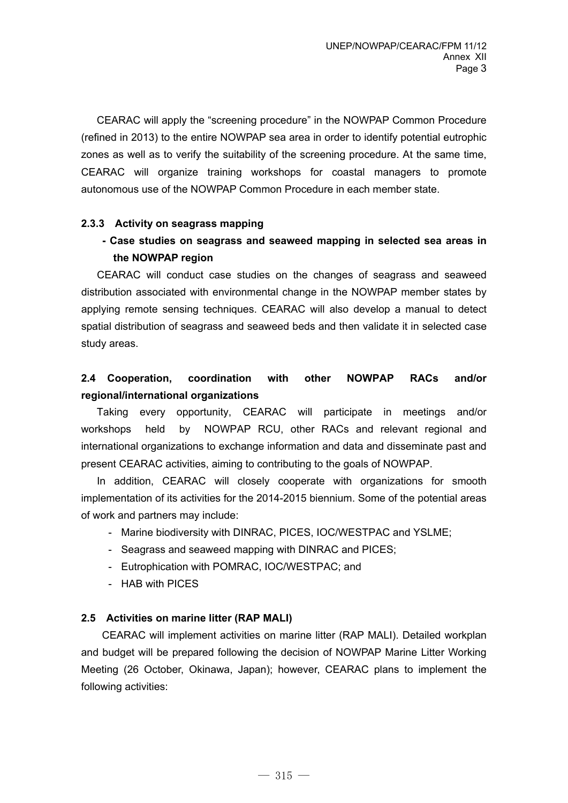CEARAC will apply the "screening procedure" in the NOWPAP Common Procedure (refined in 2013) to the entire NOWPAP sea area in order to identify potential eutrophic zones as well as to verify the suitability of the screening procedure. At the same time, CEARAC will organize training workshops for coastal managers to promote autonomous use of the NOWPAP Common Procedure in each member state.

### **2.3.3 Activity on seagrass mapping**

 **- Case studies on seagrass and seaweed mapping in selected sea areas in the NOWPAP region** 

CEARAC will conduct case studies on the changes of seagrass and seaweed distribution associated with environmental change in the NOWPAP member states by applying remote sensing techniques. CEARAC will also develop a manual to detect spatial distribution of seagrass and seaweed beds and then validate it in selected case study areas.

# **2.4 Cooperation, coordination with other NOWPAP RACs and/or regional/international organizations**

Taking every opportunity, CEARAC will participate in meetings and/or workshops held by NOWPAP RCU, other RACs and relevant regional and international organizations to exchange information and data and disseminate past and present CEARAC activities, aiming to contributing to the goals of NOWPAP.

In addition, CEARAC will closely cooperate with organizations for smooth implementation of its activities for the 2014-2015 biennium. Some of the potential areas of work and partners may include:

- Marine biodiversity with DINRAC, PICES, IOC/WESTPAC and YSLME;
- Seagrass and seaweed mapping with DINRAC and PICES;
- Eutrophication with POMRAC, IOC/WESTPAC; and
- HAB with PICES

#### **2.5 Activities on marine litter (RAP MALI)**

 CEARAC will implement activities on marine litter (RAP MALI). Detailed workplan and budget will be prepared following the decision of NOWPAP Marine Litter Working Meeting (26 October, Okinawa, Japan); however, CEARAC plans to implement the following activities: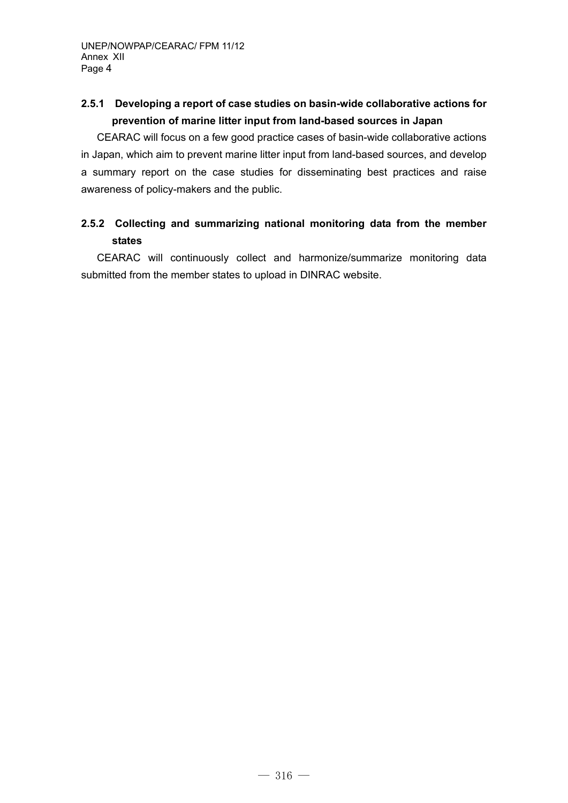# **2.5.1 Developing a report of case studies on basin-wide collaborative actions for prevention of marine litter input from land-based sources in Japan**

 CEARAC will focus on a few good practice cases of basin-wide collaborative actions in Japan, which aim to prevent marine litter input from land-based sources, and develop a summary report on the case studies for disseminating best practices and raise awareness of policy-makers and the public.

# **2.5.2 Collecting and summarizing national monitoring data from the member states**

CEARAC will continuously collect and harmonize/summarize monitoring data submitted from the member states to upload in DINRAC website.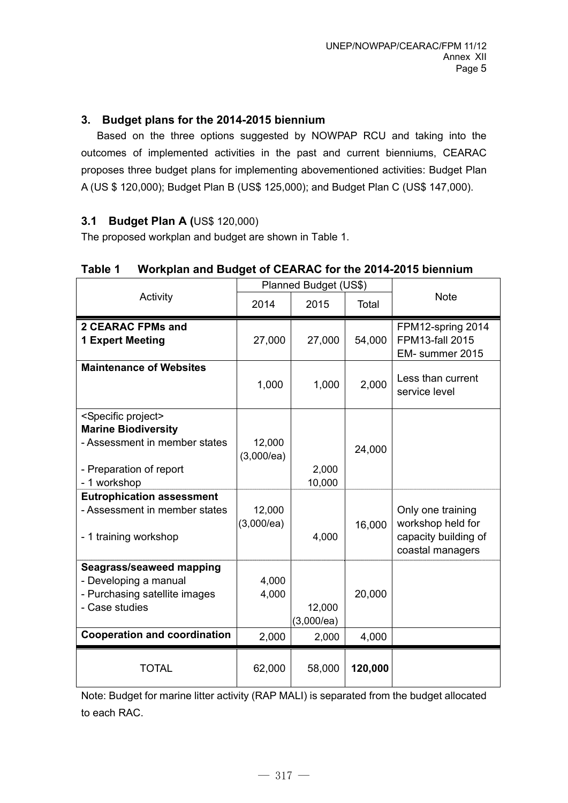## **3. Budget plans for the 2014-2015 biennium**

 Based on the three options suggested by NOWPAP RCU and taking into the outcomes of implemented activities in the past and current bienniums, CEARAC proposes three budget plans for implementing abovementioned activities: Budget Plan A (US \$ 120,000); Budget Plan B (US\$ 125,000); and Budget Plan C (US\$ 147,000).

### **3.1 Budget Plan A (**US\$ 120,000)

The proposed workplan and budget are shown in Table 1.

|                                                                                                                                                | Planned Budget (US\$)   |                               |                 |                                                                                    |
|------------------------------------------------------------------------------------------------------------------------------------------------|-------------------------|-------------------------------|-----------------|------------------------------------------------------------------------------------|
| Activity                                                                                                                                       | 2014                    | 2015                          | Total           | <b>Note</b>                                                                        |
| <b>2 CEARAC FPMs and</b><br><b>1 Expert Meeting</b>                                                                                            | 27,000                  | 27,000                        | 54,000          | FPM12-spring 2014<br><b>FPM13-fall 2015</b><br>EM- summer 2015                     |
| <b>Maintenance of Websites</b>                                                                                                                 | 1,000                   | 1,000                         | 2,000           | Less than current<br>service level                                                 |
| <specific project=""><br/><b>Marine Biodiversity</b><br/>- Assessment in member states<br/>- Preparation of report<br/>- 1 workshop</specific> | 12,000<br>(3,000/ea)    | 2,000<br>10,000               | 24,000          |                                                                                    |
| <b>Eutrophication assessment</b><br>- Assessment in member states<br>- 1 training workshop                                                     | 12,000<br>(3,000/ea)    | 4,000                         | 16,000          | Only one training<br>workshop held for<br>capacity building of<br>coastal managers |
| Seagrass/seaweed mapping<br>- Developing a manual<br>- Purchasing satellite images<br>- Case studies<br><b>Cooperation and coordination</b>    | 4,000<br>4,000<br>2,000 | 12,000<br>(3,000/ea)<br>2,000 | 20,000<br>4,000 |                                                                                    |
| <b>TOTAL</b>                                                                                                                                   | 62,000                  | 58,000                        | 120,000         |                                                                                    |

#### **Table 1 Workplan and Budget of CEARAC for the 2014-2015 biennium**

Note: Budget for marine litter activity (RAP MALI) is separated from the budget allocated to each RAC.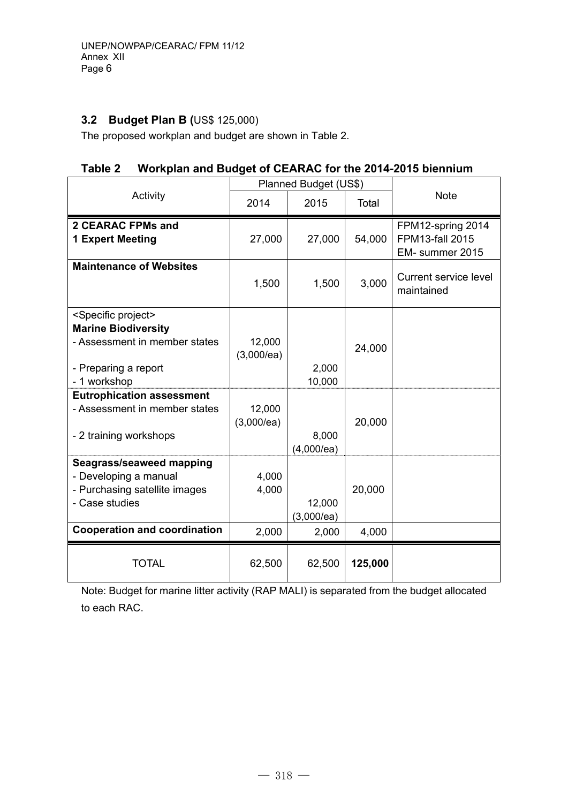# **3.2 Budget Plan B (**US\$ 125,000)

The proposed workplan and budget are shown in Table 2.

# **Table 2 Workplan and Budget of CEARAC for the 2014-2015 biennium**

|                                                                                                                                             | Planned Budget (US\$)   |                               |                 |                                                                |
|---------------------------------------------------------------------------------------------------------------------------------------------|-------------------------|-------------------------------|-----------------|----------------------------------------------------------------|
| Activity                                                                                                                                    | 2014                    | 2015                          | Total           | <b>Note</b>                                                    |
| <b>2 CEARAC FPMs and</b><br><b>1 Expert Meeting</b>                                                                                         | 27,000                  | 27,000                        | 54,000          | FPM12-spring 2014<br><b>FPM13-fall 2015</b><br>EM- summer 2015 |
| <b>Maintenance of Websites</b>                                                                                                              | 1,500                   | 1,500                         | 3,000           | <b>Current service level</b><br>maintained                     |
| <specific project=""><br/><b>Marine Biodiversity</b><br/>- Assessment in member states<br/>- Preparing a report<br/>- 1 workshop</specific> | 12,000<br>(3,000/ea)    | 2,000<br>10,000               | 24,000          |                                                                |
| <b>Eutrophication assessment</b><br>- Assessment in member states<br>- 2 training workshops                                                 | 12,000<br>(3,000/ea)    | 8,000<br>(4,000/ea)           | 20,000          |                                                                |
| Seagrass/seaweed mapping<br>- Developing a manual<br>- Purchasing satellite images<br>- Case studies<br><b>Cooperation and coordination</b> | 4,000<br>4,000<br>2,000 | 12,000<br>(3,000/ea)<br>2,000 | 20,000<br>4,000 |                                                                |
| <b>TOTAL</b>                                                                                                                                | 62,500                  | 62,500                        | 125,000         |                                                                |

Note: Budget for marine litter activity (RAP MALI) is separated from the budget allocated to each RAC.